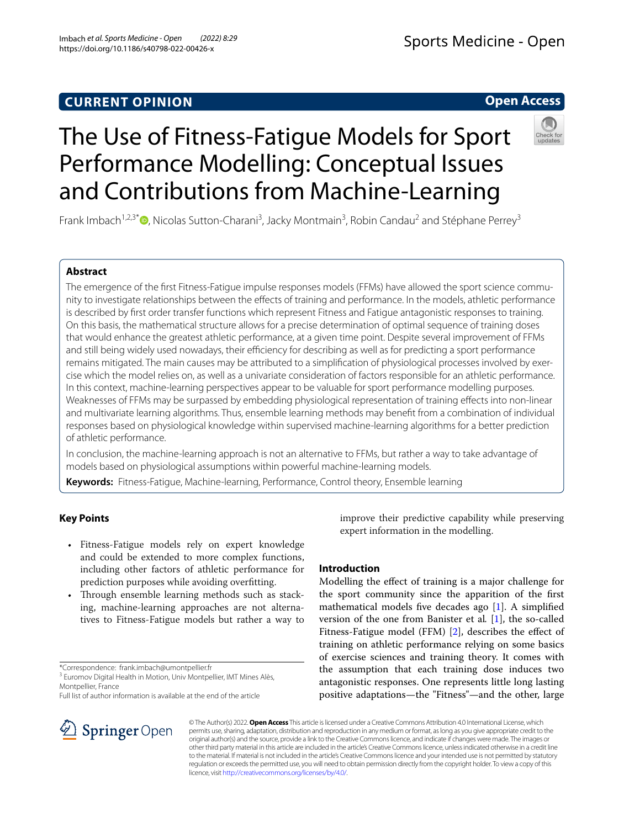## **CURRENT OPINION**

## Sports Medicine - Open

## **Open Access**



# The Use of Fitness-Fatigue Models for Sport Performance Modelling: Conceptual Issues and Contributions from Machine-Learning

Frank Imbach<sup>1,2,3\*</sup><sup>®</sup>[,](http://orcid.org/0000-0001-8175-8515) Nicolas Sutton-Charani<sup>3</sup>, Jacky Montmain<sup>3</sup>, Robin Candau<sup>2</sup> and Stéphane Perrey<sup>3</sup>

## **Abstract**

The emergence of the first Fitness-Fatigue impulse responses models (FFMs) have allowed the sport science community to investigate relationships between the efects of training and performance. In the models, athletic performance is described by frst order transfer functions which represent Fitness and Fatigue antagonistic responses to training. On this basis, the mathematical structure allows for a precise determination of optimal sequence of training doses that would enhance the greatest athletic performance, at a given time point. Despite several improvement of FFMs and still being widely used nowadays, their efficiency for describing as well as for predicting a sport performance remains mitigated. The main causes may be attributed to a simplification of physiological processes involved by exercise which the model relies on, as well as a univariate consideration of factors responsible for an athletic performance. In this context, machine-learning perspectives appear to be valuable for sport performance modelling purposes. Weaknesses of FFMs may be surpassed by embedding physiological representation of training efects into non-linear and multivariate learning algorithms. Thus, ensemble learning methods may beneft from a combination of individual responses based on physiological knowledge within supervised machine-learning algorithms for a better prediction of athletic performance.

In conclusion, the machine-learning approach is not an alternative to FFMs, but rather a way to take advantage of models based on physiological assumptions within powerful machine-learning models.

**Keywords:** Fitness-Fatigue, Machine-learning, Performance, Control theory, Ensemble learning

## **Key Points**

- Fitness-Fatigue models rely on expert knowledge and could be extended to more complex functions, including other factors of athletic performance for prediction purposes while avoiding overftting.
- Through ensemble learning methods such as stacking, machine-learning approaches are not alternatives to Fitness-Fatigue models but rather a way to

\*Correspondence: frank.imbach@umontpellier.fr

<sup>3</sup> Euromov Digital Health in Motion, Univ Montpellier, IMT Mines Alès, Montpellier, France

Full list of author information is available at the end of the article



improve their predictive capability while preserving expert information in the modelling.

## **Introduction**

Modelling the efect of training is a major challenge for the sport community since the apparition of the frst mathematical models fve decades ago [\[1](#page-4-0)]. A simplifed version of the one from Banister et al*.* [[1\]](#page-4-0), the so-called Fitness-Fatigue model (FFM) [\[2](#page-4-1)], describes the effect of training on athletic performance relying on some basics of exercise sciences and training theory. It comes with the assumption that each training dose induces two antagonistic responses. One represents little long lasting positive adaptations—the "Fitness"—and the other, large

© The Author(s) 2022. **Open Access** This article is licensed under a Creative Commons Attribution 4.0 International License, which permits use, sharing, adaptation, distribution and reproduction in any medium or format, as long as you give appropriate credit to the original author(s) and the source, provide a link to the Creative Commons licence, and indicate if changes were made. The images or other third party material in this article are included in the article's Creative Commons licence, unless indicated otherwise in a credit line to the material. If material is not included in the article's Creative Commons licence and your intended use is not permitted by statutory regulation or exceeds the permitted use, you will need to obtain permission directly from the copyright holder. To view a copy of this licence, visit [http://creativecommons.org/licenses/by/4.0/.](http://creativecommons.org/licenses/by/4.0/)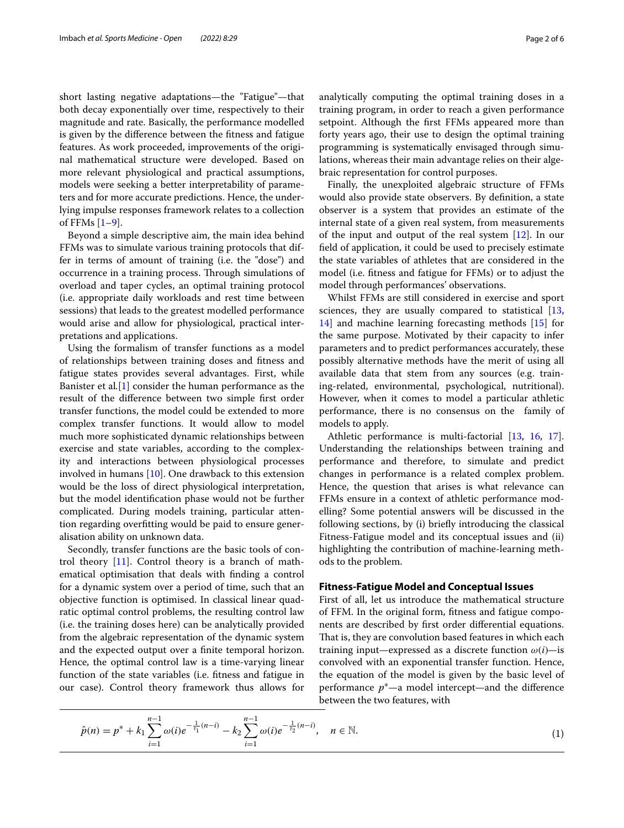short lasting negative adaptations—the "Fatigue"—that both decay exponentially over time, respectively to their magnitude and rate. Basically, the performance modelled is given by the diference between the ftness and fatigue features. As work proceeded, improvements of the original mathematical structure were developed. Based on more relevant physiological and practical assumptions, models were seeking a better interpretability of parameters and for more accurate predictions. Hence, the underlying impulse responses framework relates to a collection of FFMs  $[1-9]$  $[1-9]$ .

Beyond a simple descriptive aim, the main idea behind FFMs was to simulate various training protocols that differ in terms of amount of training (i.e. the "dose") and occurrence in a training process. Through simulations of overload and taper cycles, an optimal training protocol (i.e. appropriate daily workloads and rest time between sessions) that leads to the greatest modelled performance would arise and allow for physiological, practical interpretations and applications.

Using the formalism of transfer functions as a model of relationships between training doses and ftness and fatigue states provides several advantages. First, while Banister et al*.*[[1\]](#page-4-0) consider the human performance as the result of the diference between two simple frst order transfer functions, the model could be extended to more complex transfer functions. It would allow to model much more sophisticated dynamic relationships between exercise and state variables, according to the complexity and interactions between physiological processes involved in humans [[10\]](#page-5-1). One drawback to this extension would be the loss of direct physiological interpretation, but the model identifcation phase would not be further complicated. During models training, particular attention regarding overftting would be paid to ensure generalisation ability on unknown data.

Secondly, transfer functions are the basic tools of control theory [[11\]](#page-5-2). Control theory is a branch of mathematical optimisation that deals with fnding a control for a dynamic system over a period of time, such that an objective function is optimised. In classical linear quadratic optimal control problems, the resulting control law (i.e. the training doses here) can be analytically provided from the algebraic representation of the dynamic system and the expected output over a fnite temporal horizon. Hence, the optimal control law is a time-varying linear function of the state variables (i.e. ftness and fatigue in our case). Control theory framework thus allows for analytically computing the optimal training doses in a training program, in order to reach a given performance setpoint. Although the frst FFMs appeared more than forty years ago, their use to design the optimal training programming is systematically envisaged through simulations, whereas their main advantage relies on their algebraic representation for control purposes.

Finally, the unexploited algebraic structure of FFMs would also provide state observers. By defnition, a state observer is a system that provides an estimate of the internal state of a given real system, from measurements of the input and output of the real system [[12](#page-5-3)]. In our feld of application, it could be used to precisely estimate the state variables of athletes that are considered in the model (i.e. ftness and fatigue for FFMs) or to adjust the model through performances' observations.

Whilst FFMs are still considered in exercise and sport sciences, they are usually compared to statistical [[13](#page-5-4), [14\]](#page-5-5) and machine learning forecasting methods [[15\]](#page-5-6) for the same purpose. Motivated by their capacity to infer parameters and to predict performances accurately, these possibly alternative methods have the merit of using all available data that stem from any sources (e.g. training-related, environmental, psychological, nutritional). However, when it comes to model a particular athletic performance, there is no consensus on the family of models to apply.

Athletic performance is multi-factorial [\[13](#page-5-4), [16,](#page-5-7) [17](#page-5-8)]. Understanding the relationships between training and performance and therefore, to simulate and predict changes in performance is a related complex problem. Hence, the question that arises is what relevance can FFMs ensure in a context of athletic performance modelling? Some potential answers will be discussed in the following sections, by (i) briefy introducing the classical Fitness-Fatigue model and its conceptual issues and (ii) highlighting the contribution of machine-learning methods to the problem.

#### **Fitness‑Fatigue Model and Conceptual Issues**

<span id="page-1-0"></span>First of all, let us introduce the mathematical structure of FFM. In the original form, ftness and fatigue components are described by frst order diferential equations. That is, they are convolution based features in which each training input—expressed as a discrete function  $\omega(i)$ —is convolved with an exponential transfer function. Hence, the equation of the model is given by the basic level of performance  $p^*$ —a model intercept—and the difference between the two features, with

$$
\hat{p}(n) = p^* + k_1 \sum_{i=1}^{n-1} \omega(i) e^{-\frac{1}{\tau_1}(n-i)} - k_2 \sum_{i=1}^{n-1} \omega(i) e^{-\frac{1}{\tau_2}(n-i)}, \quad n \in \mathbb{N}.
$$
\n(1)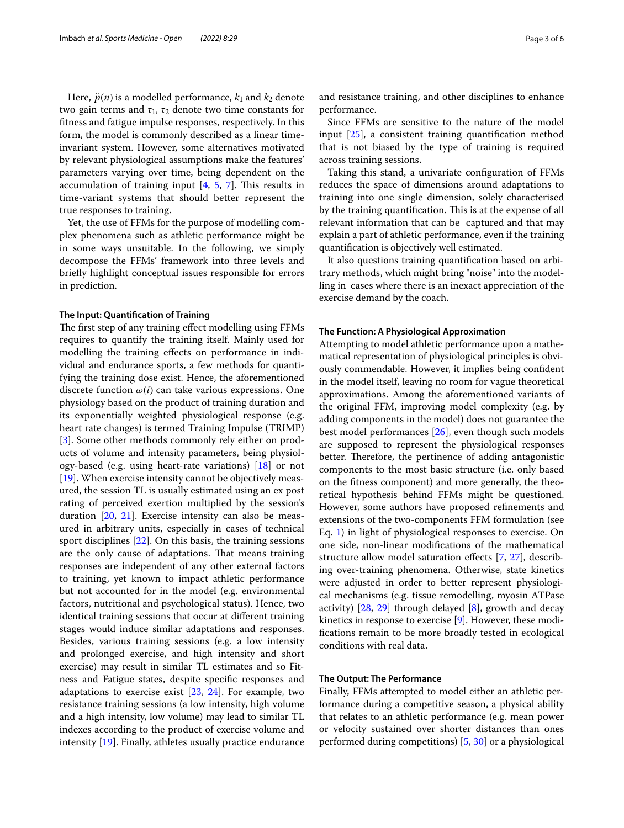Here,  $\hat{p}(n)$  is a modelled performance,  $k_1$  and  $k_2$  denote two gain terms and  $\tau_1$ ,  $\tau_2$  denote two time constants for ftness and fatigue impulse responses, respectively. In this form, the model is commonly described as a linear timeinvariant system. However, some alternatives motivated by relevant physiological assumptions make the features' parameters varying over time, being dependent on the accumulation of training input  $[4, 5, 7]$  $[4, 5, 7]$  $[4, 5, 7]$  $[4, 5, 7]$  $[4, 5, 7]$  $[4, 5, 7]$ . This results in time-variant systems that should better represent the true responses to training.

Yet, the use of FFMs for the purpose of modelling complex phenomena such as athletic performance might be in some ways unsuitable. In the following, we simply decompose the FFMs' framework into three levels and briefy highlight conceptual issues responsible for errors in prediction.

#### **The Input: Quantifcation of Training**

The first step of any training effect modelling using FFMs requires to quantify the training itself. Mainly used for modelling the training efects on performance in individual and endurance sports, a few methods for quantifying the training dose exist. Hence, the aforementioned discrete function  $\omega(i)$  can take various expressions. One physiology based on the product of training duration and its exponentially weighted physiological response (e.g. heart rate changes) is termed Training Impulse (TRIMP) [[3\]](#page-4-5). Some other methods commonly rely either on products of volume and intensity parameters, being physiology-based (e.g. using heart-rate variations)  $[18]$  or not [[19\]](#page-5-10). When exercise intensity cannot be objectively measured, the session TL is usually estimated using an ex post rating of perceived exertion multiplied by the session's duration [\[20](#page-5-11), [21](#page-5-12)]. Exercise intensity can also be measured in arbitrary units, especially in cases of technical sport disciplines [[22\]](#page-5-13). On this basis, the training sessions are the only cause of adaptations. That means training responses are independent of any other external factors to training, yet known to impact athletic performance but not accounted for in the model (e.g. environmental factors, nutritional and psychological status). Hence, two identical training sessions that occur at diferent training stages would induce similar adaptations and responses. Besides, various training sessions (e.g. a low intensity and prolonged exercise, and high intensity and short exercise) may result in similar TL estimates and so Fitness and Fatigue states, despite specifc responses and adaptations to exercise exist  $[23, 24]$  $[23, 24]$  $[23, 24]$  $[23, 24]$ . For example, two resistance training sessions (a low intensity, high volume and a high intensity, low volume) may lead to similar TL indexes according to the product of exercise volume and intensity [[19\]](#page-5-10). Finally, athletes usually practice endurance and resistance training, and other disciplines to enhance performance.

Since FFMs are sensitive to the nature of the model input [\[25\]](#page-5-16), a consistent training quantifcation method that is not biased by the type of training is required across training sessions.

Taking this stand, a univariate confguration of FFMs reduces the space of dimensions around adaptations to training into one single dimension, solely characterised by the training quantification. This is at the expense of all relevant information that can be captured and that may explain a part of athletic performance, even if the training quantifcation is objectively well estimated.

It also questions training quantifcation based on arbitrary methods, which might bring "noise" into the modelling in cases where there is an inexact appreciation of the exercise demand by the coach.

#### **The Function: A Physiological Approximation**

Attempting to model athletic performance upon a mathematical representation of physiological principles is obviously commendable. However, it implies being confdent in the model itself, leaving no room for vague theoretical approximations. Among the aforementioned variants of the original FFM, improving model complexity (e.g. by adding components in the model) does not guarantee the best model performances [\[26](#page-5-17)], even though such models are supposed to represent the physiological responses better. Therefore, the pertinence of adding antagonistic components to the most basic structure (i.e. only based on the ftness component) and more generally, the theoretical hypothesis behind FFMs might be questioned. However, some authors have proposed refnements and extensions of the two-components FFM formulation (see Eq. [1\)](#page-1-0) in light of physiological responses to exercise. On one side, non-linear modifcations of the mathematical structure allow model saturation efects [\[7](#page-4-4), [27\]](#page-5-18), describing over-training phenomena. Otherwise, state kinetics were adjusted in order to better represent physiological mechanisms (e.g. tissue remodelling, myosin ATPase activity)  $[28, 29]$  $[28, 29]$  $[28, 29]$  through delayed  $[8]$  $[8]$ , growth and decay kinetics in response to exercise [\[9](#page-5-0)]. However, these modifcations remain to be more broadly tested in ecological conditions with real data.

#### **The Output: The Performance**

Finally, FFMs attempted to model either an athletic performance during a competitive season, a physical ability that relates to an athletic performance (e.g. mean power or velocity sustained over shorter distances than ones performed during competitions) [[5](#page-4-3), [30\]](#page-5-22) or a physiological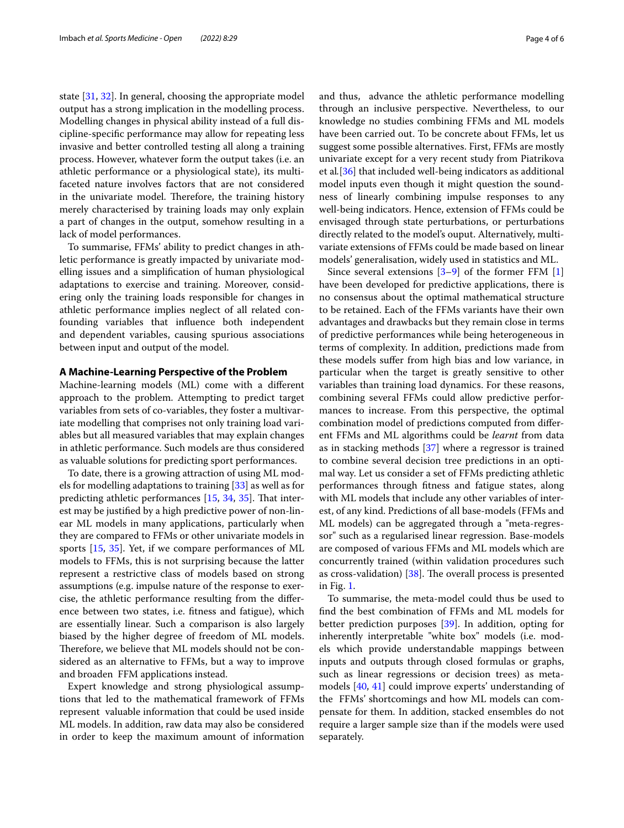state [[31](#page-5-23), [32\]](#page-5-24). In general, choosing the appropriate model output has a strong implication in the modelling process. Modelling changes in physical ability instead of a full discipline-specifc performance may allow for repeating less invasive and better controlled testing all along a training process. However, whatever form the output takes (i.e. an athletic performance or a physiological state), its multifaceted nature involves factors that are not considered in the univariate model. Therefore, the training history merely characterised by training loads may only explain a part of changes in the output, somehow resulting in a lack of model performances.

To summarise, FFMs' ability to predict changes in athletic performance is greatly impacted by univariate modelling issues and a simplifcation of human physiological adaptations to exercise and training. Moreover, considering only the training loads responsible for changes in athletic performance implies neglect of all related confounding variables that infuence both independent and dependent variables, causing spurious associations between input and output of the model.

## **A Machine‑Learning Perspective of the Problem**

Machine-learning models (ML) come with a diferent approach to the problem. Attempting to predict target variables from sets of co-variables, they foster a multivariate modelling that comprises not only training load variables but all measured variables that may explain changes in athletic performance. Such models are thus considered as valuable solutions for predicting sport performances.

To date, there is a growing attraction of using ML models for modelling adaptations to training [\[33](#page-5-25)] as well as for predicting athletic performances [[15,](#page-5-6) [34,](#page-5-26) [35\]](#page-5-27). That interest may be justifed by a high predictive power of non-linear ML models in many applications, particularly when they are compared to FFMs or other univariate models in sports [[15,](#page-5-6) [35](#page-5-27)]. Yet, if we compare performances of ML models to FFMs, this is not surprising because the latter represent a restrictive class of models based on strong assumptions (e.g. impulse nature of the response to exercise, the athletic performance resulting from the diference between two states, i.e. ftness and fatigue), which are essentially linear. Such a comparison is also largely biased by the higher degree of freedom of ML models. Therefore, we believe that ML models should not be considered as an alternative to FFMs, but a way to improve and broaden FFM applications instead.

Expert knowledge and strong physiological assumptions that led to the mathematical framework of FFMs represent valuable information that could be used inside ML models. In addition, raw data may also be considered in order to keep the maximum amount of information and thus, advance the athletic performance modelling through an inclusive perspective. Nevertheless, to our knowledge no studies combining FFMs and ML models have been carried out. To be concrete about FFMs, let us

suggest some possible alternatives. First, FFMs are mostly univariate except for a very recent study from Piatrikova et al*.*[\[36\]](#page-5-28) that included well-being indicators as additional model inputs even though it might question the soundness of linearly combining impulse responses to any well-being indicators. Hence, extension of FFMs could be envisaged through state perturbations, or perturbations directly related to the model's ouput. Alternatively, multivariate extensions of FFMs could be made based on linear models' generalisation, widely used in statistics and ML.

Since several extensions  $[3-9]$  $[3-9]$  of the former FFM  $[1]$  $[1]$ have been developed for predictive applications, there is no consensus about the optimal mathematical structure to be retained. Each of the FFMs variants have their own advantages and drawbacks but they remain close in terms of predictive performances while being heterogeneous in terms of complexity. In addition, predictions made from these models sufer from high bias and low variance, in particular when the target is greatly sensitive to other variables than training load dynamics. For these reasons, combining several FFMs could allow predictive performances to increase. From this perspective, the optimal combination model of predictions computed from diferent FFMs and ML algorithms could be *learnt* from data as in stacking methods [[37](#page-5-29)] where a regressor is trained to combine several decision tree predictions in an optimal way. Let us consider a set of FFMs predicting athletic performances through ftness and fatigue states, along with ML models that include any other variables of interest, of any kind. Predictions of all base-models (FFMs and ML models) can be aggregated through a "meta-regressor" such as a regularised linear regression. Base-models are composed of various FFMs and ML models which are concurrently trained (within validation procedures such as cross-validation)  $[38]$ . The overall process is presented in Fig. [1](#page-4-6).

To summarise, the meta-model could thus be used to fnd the best combination of FFMs and ML models for better prediction purposes [[39\]](#page-5-31). In addition, opting for inherently interpretable "white box" models (i.e. models which provide understandable mappings between inputs and outputs through closed formulas or graphs, such as linear regressions or decision trees) as metamodels [\[40](#page-5-32), [41](#page-5-33)] could improve experts' understanding of the FFMs' shortcomings and how ML models can compensate for them. In addition, stacked ensembles do not require a larger sample size than if the models were used separately.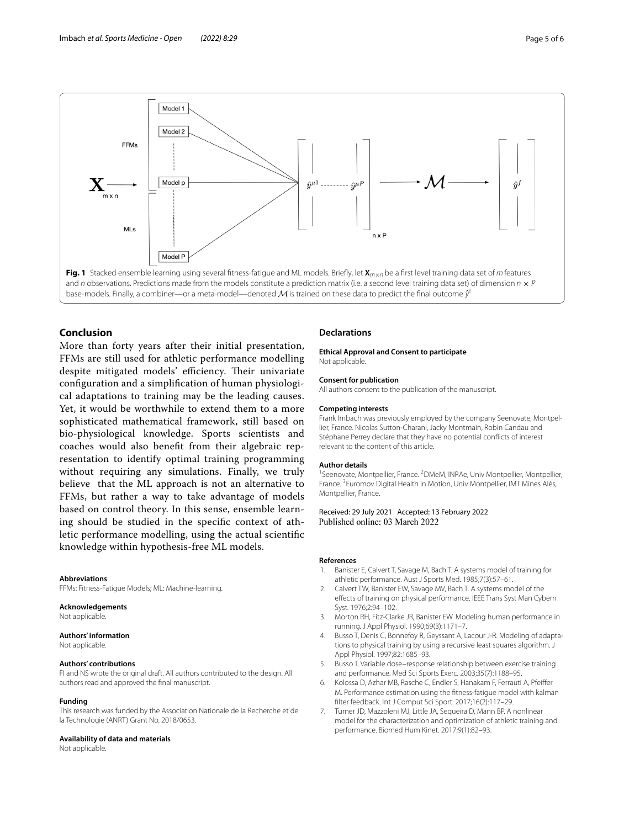

### <span id="page-4-6"></span>**Conclusion**

More than forty years after their initial presentation, FFMs are still used for athletic performance modelling despite mitigated models' efficiency. Their univariate confguration and a simplifcation of human physiological adaptations to training may be the leading causes. Yet, it would be worthwhile to extend them to a more sophisticated mathematical framework, still based on bio-physiological knowledge. Sports scientists and coaches would also beneft from their algebraic representation to identify optimal training programming without requiring any simulations. Finally, we truly believe that the ML approach is not an alternative to FFMs, but rather a way to take advantage of models based on control theory. In this sense, ensemble learning should be studied in the specifc context of athletic performance modelling, using the actual scientifc knowledge within hypothesis-free ML models.

#### **Abbreviations**

FFMs: Fitness-Fatigue Models; ML: Machine-learning.

#### **Acknowledgements**

Not applicable.

#### **Authors' information**

Not applicable.

#### **Authors' contributions**

FI and NS wrote the original draft. All authors contributed to the design. All authors read and approved the fnal manuscript.

#### **Funding**

This research was funded by the Association Nationale de la Recherche et de la Technologie (ANRT) Grant No. 2018/0653.

#### **Availability of data and materials**

Not applicable.

#### **Declarations**

**Ethical Approval and Consent to participate** Not applicable.

## **Consent for publication**

All authors consent to the publication of the manuscript.

#### **Competing interests**

Frank Imbach was previously employed by the company Seenovate, Montpellier, France. Nicolas Sutton-Charani, Jacky Montmain, Robin Candau and Stéphane Perrey declare that they have no potential conficts of interest relevant to the content of this article.

#### **Author details**

<sup>1</sup> Seenovate, Montpellier, France. <sup>2</sup> DMeM, INRAe, Univ Montpellier, Montpellier, France. <sup>3</sup> Euromov Digital Health in Motion, Univ Montpellier, IMT Mines Alès, Montpellier, France.

Received: 29 July 2021 Accepted: 13 February 2022

#### **References**

- <span id="page-4-0"></span>1. Banister E, Calvert T, Savage M, Bach T. A systems model of training for athletic performance. Aust J Sports Med. 1985;7(3):57–61.
- <span id="page-4-1"></span>2. Calvert TW, Banister EW, Savage MV, Bach T. A systems model of the efects of training on physical performance. IEEE Trans Syst Man Cybern Syst. 1976;2:94–102.
- <span id="page-4-5"></span>3. Morton RH, Fitz-Clarke JR, Banister EW. Modeling human performance in running. J Appl Physiol. 1990;69(3):1171–7.
- <span id="page-4-2"></span>4. Busso T, Denis C, Bonnefoy R, Geyssant A, Lacour J-R. Modeling of adaptations to physical training by using a recursive least squares algorithm. J Appl Physiol. 1997;82:1685–93.
- <span id="page-4-3"></span>5. Busso T. Variable dose–response relationship between exercise training and performance. Med Sci Sports Exerc. 2003;35(7):1188–95.
- 6. Kolossa D, Azhar MB, Rasche C, Endler S, Hanakam F, Ferrauti A, Pfeifer M. Performance estimation using the ftness-fatigue model with kalman flter feedback. Int J Comput Sci Sport. 2017;16(2):117–29.
- <span id="page-4-4"></span>7. Turner JD, Mazzoleni MJ, Little JA, Sequeira D, Mann BP. A nonlinear model for the characterization and optimization of athletic training and performance. Biomed Hum Kinet. 2017;9(1):82–93.